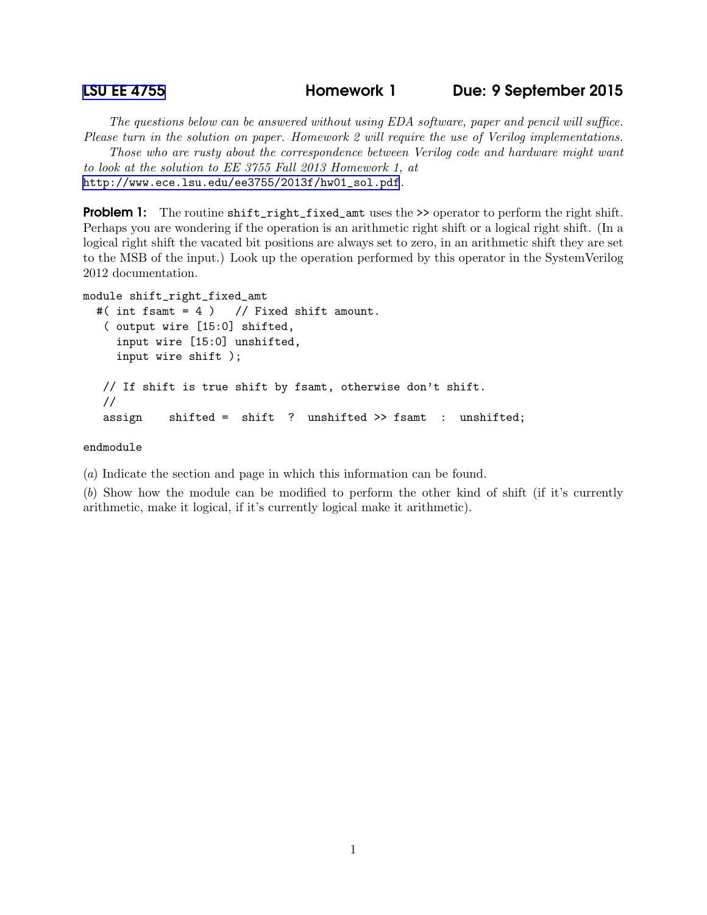The questions below can be answered without using EDA software, paper and pencil will suffice. Please turn in the solution on paper. Homework 2 will require the use of Verilog implementations.

Those who are rusty about the correspondence between Verilog code and hardware might want to look at the solution to EE 3755 Fall 2013 Homework 1, at [http://www.ece.lsu.edu/ee3755/2013f/hw01\\_sol.pdf](http://www.ece.lsu.edu/ee3755/2013f/hw01_sol.pdf).

**Problem 1:** The routine shift\_right\_fixed\_amt uses the >> operator to perform the right shift. Perhaps you are wondering if the operation is an arithmetic right shift or a logical right shift. (In a logical right shift the vacated bit positions are always set to zero, in an arithmetic shift they are set to the MSB of the input.) Look up the operation performed by this operator in the SystemVerilog 2012 documentation.

```
module shift_right_fixed_amt
  #( int fsamt = 4 ) // Fixed shift amount.
   ( output wire [15:0] shifted,
     input wire [15:0] unshifted,
    input wire shift );
  // If shift is true shift by fsamt, otherwise don't shift.
  //
  assign shifted = shift ? unshifted >> fsamt : unshifted;
```
## endmodule

(a) Indicate the section and page in which this information can be found.

(b) Show how the module can be modified to perform the other kind of shift (if it's currently arithmetic, make it logical, if it's currently logical make it arithmetic).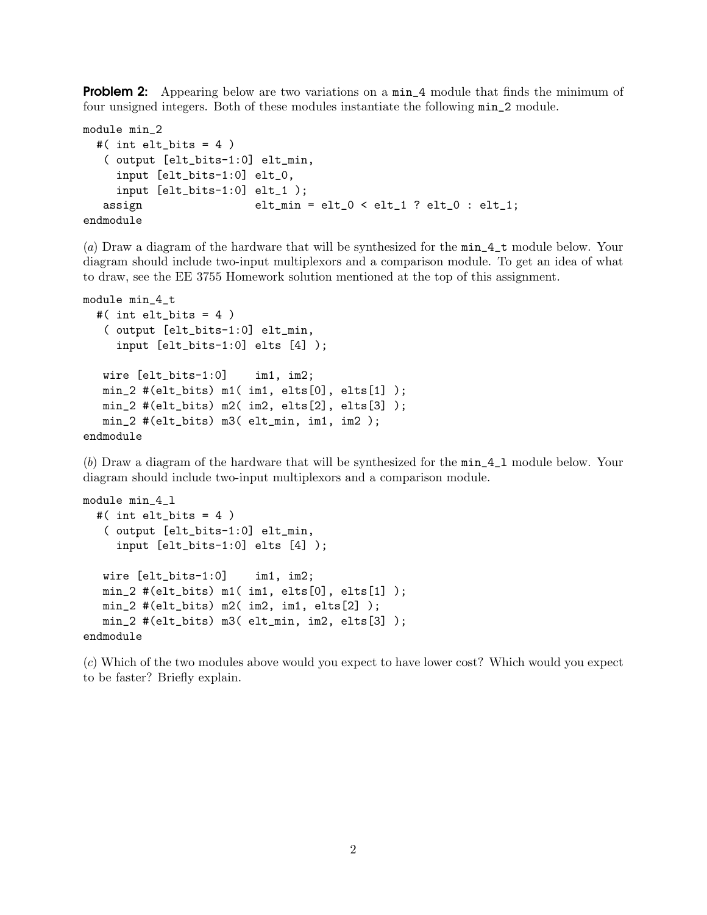**Problem 2:** Appearing below are two variations on a min<sub>-4</sub> module that finds the minimum of four unsigned integers. Both of these modules instantiate the following min\_2 module.

```
module min_2
 #( int elt_bits = 4)
  ( output [elt_bits-1:0] elt_min,
    input [elt_bits-1:0] elt_0,
    input [elt_bits-1:0] elt_1 );
  assign elt_min = elt_0 < elt_1 ? elt_0 : elt_1;
endmodule
```
(a) Draw a diagram of the hardware that will be synthesized for the min\_4\_t module below. Your diagram should include two-input multiplexors and a comparison module. To get an idea of what to draw, see the EE 3755 Homework solution mentioned at the top of this assignment.

```
module min_4_t
 #( int elt_bits = 4 )
   ( output [elt_bits-1:0] elt_min,
     input [elt_bits-1:0] elts [4] );
  wire [elt_bits-1:0] im1, im2;
  min_2 #(elt_bits) m1( im1, elts[0], elts[1] );
  min_2 #(elt_bits) m2( im2, elts[2], elts[3] );
  min_2 #(elt_bits) m3( elt_min, im1, im2 );
endmodule
```
(b) Draw a diagram of the hardware that will be synthesized for the min\_4\_l module below. Your diagram should include two-input multiplexors and a comparison module.

```
module min_4_l
  #( int elt_bits = 4 )
   ( output [elt_bits-1:0] elt_min,
     input [elt_bits-1:0] elts [4] );
  wire [elt_bits-1:0] im1, im2;
  min_2 #(elt_bits) m1( im1, elts[0], elts[1] );
  min_2 #(elt_bits) m2( im2, im1, elts[2] );
  min_2 #(elt_bits) m3( elt_min, im2, elts[3] );
endmodule
```
(c) Which of the two modules above would you expect to have lower cost? Which would you expect to be faster? Briefly explain.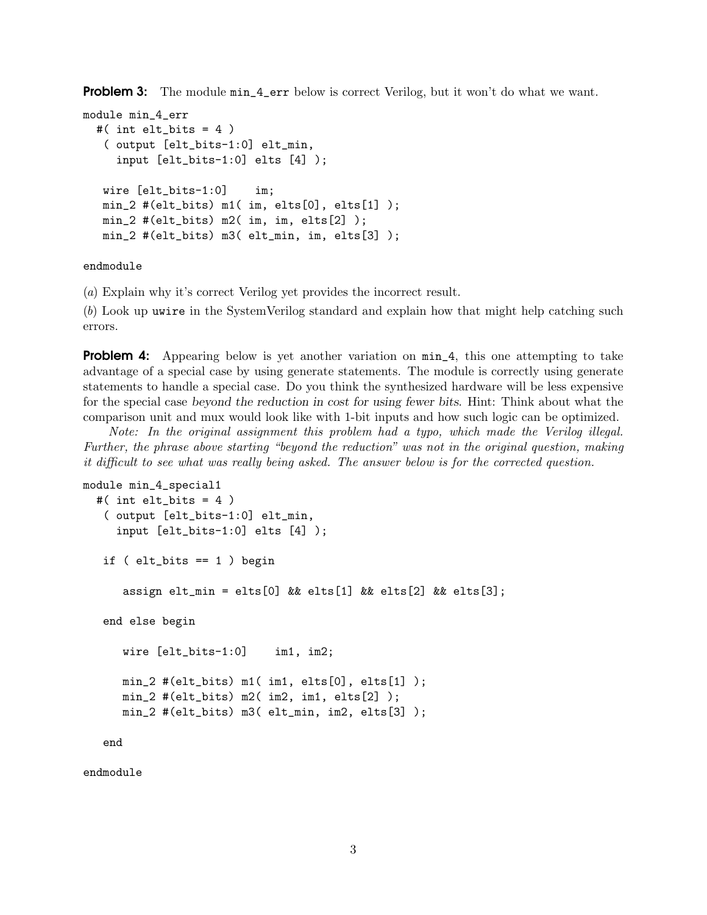**Problem 3:** The module  $min_4$ -err below is correct Verilog, but it won't do what we want.

```
module min_4_err
  #( int elt_bits = 4 )
   ( output [elt_bits-1:0] elt_min,
     input [elt_bits-1:0] elts [4] );
  wire [elt_bits-1:0] im;
  min_2 #(elt_bits) m1( im, elts[0], elts[1] );
  min_2 #(elt_bits) m2( im, im, elts[2] );
  min_2 #(elt_bits) m3( elt_min, im, elts[3] );
```
## endmodule

(a) Explain why it's correct Verilog yet provides the incorrect result.

(b) Look up uwire in the SystemVerilog standard and explain how that might help catching such errors.

**Problem 4:** Appearing below is yet another variation on  $\min_4$ , this one attempting to take advantage of a special case by using generate statements. The module is correctly using generate statements to handle a special case. Do you think the synthesized hardware will be less expensive for the special case beyond the reduction in cost for using fewer bits. Hint: Think about what the comparison unit and mux would look like with 1-bit inputs and how such logic can be optimized.

Note: In the original assignment this problem had a typo, which made the Verilog illegal. Further, the phrase above starting "beyond the reduction" was not in the original question, making it difficult to see what was really being asked. The answer below is for the corrected question.

```
module min_4_special1
  #( int elt_bits = 4 )
   ( output [elt_bits-1:0] elt_min,
     input [elt_bits-1:0] elts [4] );
   if ( elt_bits == 1 ) begin
      assign elt_min = elts[0] && elts[1] && elts[2] && elts[3];
   end else begin
      wire [elt_bits-1:0] im1, im2;
      min_2 #(elt_bits) m1( im1, elts[0], elts[1] );
      min_2 #(elt_bits) m2( im2, im1, elts[2] );
      min_2 #(elt_bits) m3( elt_min, im2, elts[3] );
   end
```
endmodule